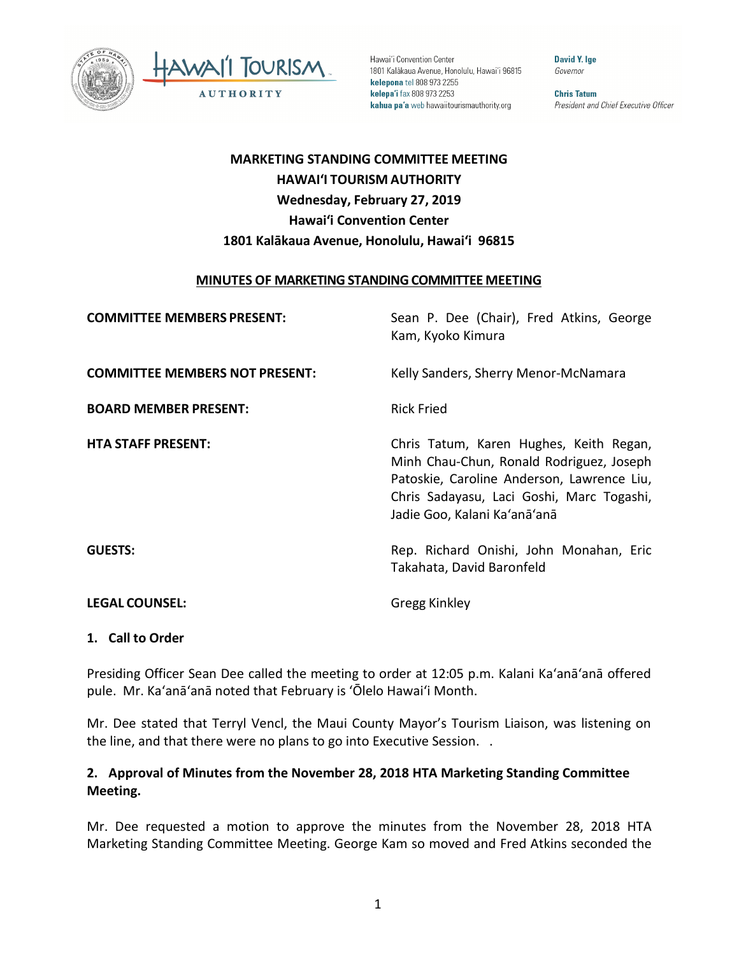



Hawai'i Convention Center 1801 Kalākaua Avenue, Honolulu, Hawai'i 96815 kelepona tel 808 973 2255 kelepa'i fax 808 973 2253 kahua pa'a web hawaiitourismauthority.org

David Y. Ige Governor

**Chris Tatum** President and Chief Executive Officer

# **MARKETING STANDING COMMITTEE MEETING HAWAI'I TOURISM AUTHORITY Wednesday, February 27, 2019 Hawai'i Convention Center 1801 Kalākaua Avenue, Honolulu, Hawai'i 96815**

#### **MINUTES OF MARKETING STANDING COMMITTEE MEETING**

| <b>COMMITTEE MEMBERS PRESENT:</b>     | Sean P. Dee (Chair), Fred Atkins, George<br>Kam, Kyoko Kimura                                                                                                                                                  |
|---------------------------------------|----------------------------------------------------------------------------------------------------------------------------------------------------------------------------------------------------------------|
| <b>COMMITTEE MEMBERS NOT PRESENT:</b> | Kelly Sanders, Sherry Menor-McNamara                                                                                                                                                                           |
| <b>BOARD MEMBER PRESENT:</b>          | <b>Rick Fried</b>                                                                                                                                                                                              |
| <b>HTA STAFF PRESENT:</b>             | Chris Tatum, Karen Hughes, Keith Regan,<br>Minh Chau-Chun, Ronald Rodriguez, Joseph<br>Patoskie, Caroline Anderson, Lawrence Liu,<br>Chris Sadayasu, Laci Goshi, Marc Togashi,<br>Jadie Goo, Kalani Ka'anā'anā |
| <b>GUESTS:</b>                        | Rep. Richard Onishi, John Monahan, Eric<br>Takahata, David Baronfeld                                                                                                                                           |
| <b>LEGAL COUNSEL:</b>                 | Gregg Kinkley                                                                                                                                                                                                  |

### **1. Call to Order**

Presiding Officer Sean Dee called the meeting to order at 12:05 p.m. Kalani Ka'anā'anā offered pule. Mr. Ka'anā'anā noted that February is ʻŌlelo Hawai'i Month.

Mr. Dee stated that Terryl Vencl, the Maui County Mayor's Tourism Liaison, was listening on the line, and that there were no plans to go into Executive Session. .

### **2. Approval of Minutes from the November 28, 2018 HTA Marketing Standing Committee Meeting.**

Mr. Dee requested a motion to approve the minutes from the November 28, 2018 HTA Marketing Standing Committee Meeting. George Kam so moved and Fred Atkins seconded the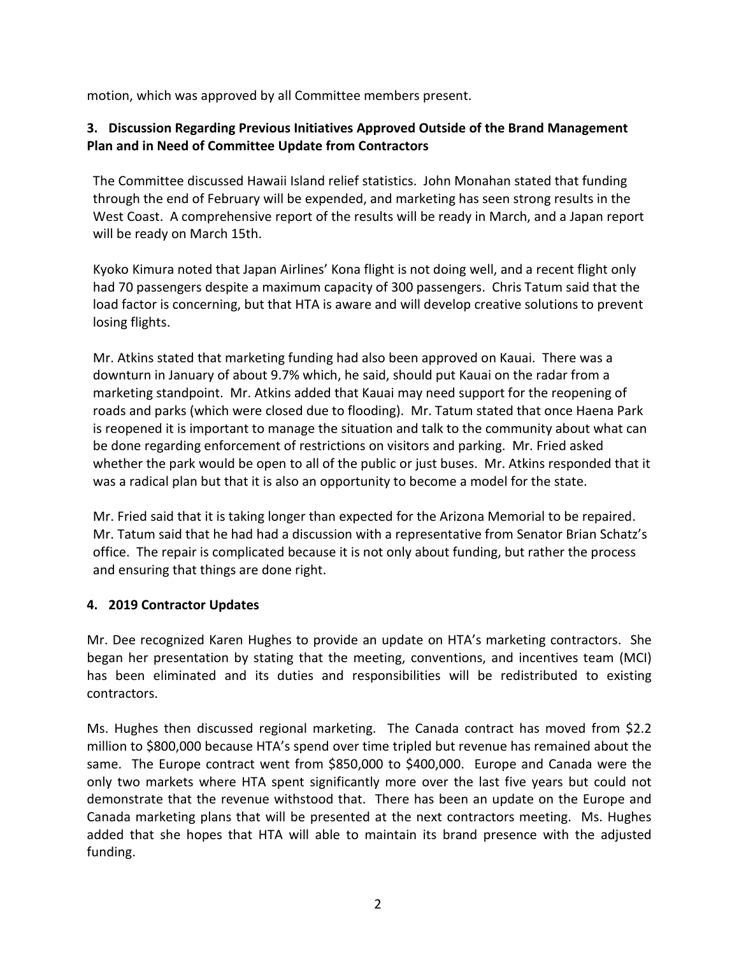motion, which was approved by all Committee members present.

## **3. Discussion Regarding Previous Initiatives Approved Outside of the Brand Management Plan and in Need of Committee Update from Contractors**

The Committee discussed Hawaii Island relief statistics. John Monahan stated that funding through the end of February will be expended, and marketing has seen strong results in the West Coast. A comprehensive report of the results will be ready in March, and a Japan report will be ready on March 15th.

Kyoko Kimura noted that Japan Airlines' Kona flight is not doing well, and a recent flight only had 70 passengers despite a maximum capacity of 300 passengers. Chris Tatum said that the load factor is concerning, but that HTA is aware and will develop creative solutions to prevent losing flights.

Mr. Atkins stated that marketing funding had also been approved on Kauai. There was a downturn in January of about 9.7% which, he said, should put Kauai on the radar from a marketing standpoint. Mr. Atkins added that Kauai may need support for the reopening of roads and parks (which were closed due to flooding). Mr. Tatum stated that once Haena Park is reopened it is important to manage the situation and talk to the community about what can be done regarding enforcement of restrictions on visitors and parking. Mr. Fried asked whether the park would be open to all of the public or just buses. Mr. Atkins responded that it was a radical plan but that it is also an opportunity to become a model for the state.

Mr. Fried said that it is taking longer than expected for the Arizona Memorial to be repaired. Mr. Tatum said that he had had a discussion with a representative from Senator Brian Schatz's office. The repair is complicated because it is not only about funding, but rather the process and ensuring that things are done right.

### **4. 2019 Contractor Updates**

Mr. Dee recognized Karen Hughes to provide an update on HTA's marketing contractors. She began her presentation by stating that the meeting, conventions, and incentives team (MCI) has been eliminated and its duties and responsibilities will be redistributed to existing contractors.

Ms. Hughes then discussed regional marketing. The Canada contract has moved from \$2.2 million to \$800,000 because HTA's spend over time tripled but revenue has remained about the same. The Europe contract went from \$850,000 to \$400,000. Europe and Canada were the only two markets where HTA spent significantly more over the last five years but could not demonstrate that the revenue withstood that. There has been an update on the Europe and Canada marketing plans that will be presented at the next contractors meeting. Ms. Hughes added that she hopes that HTA will able to maintain its brand presence with the adjusted funding.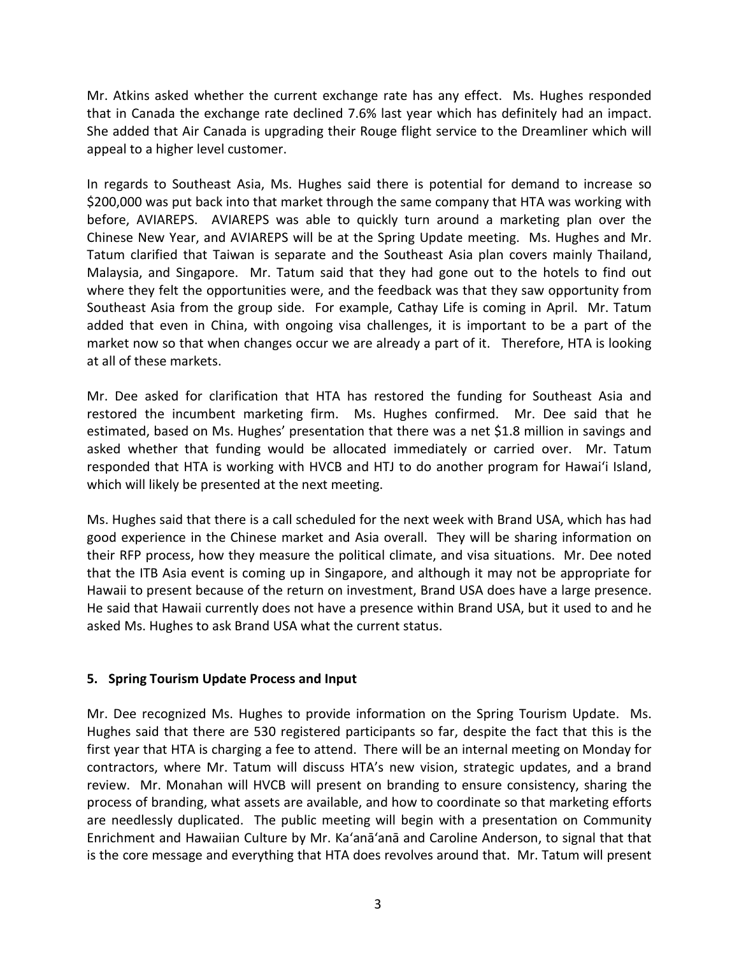Mr. Atkins asked whether the current exchange rate has any effect. Ms. Hughes responded that in Canada the exchange rate declined 7.6% last year which has definitely had an impact. She added that Air Canada is upgrading their Rouge flight service to the Dreamliner which will appeal to a higher level customer.

In regards to Southeast Asia, Ms. Hughes said there is potential for demand to increase so \$200,000 was put back into that market through the same company that HTA was working with before, AVIAREPS. AVIAREPS was able to quickly turn around a marketing plan over the Chinese New Year, and AVIAREPS will be at the Spring Update meeting. Ms. Hughes and Mr. Tatum clarified that Taiwan is separate and the Southeast Asia plan covers mainly Thailand, Malaysia, and Singapore. Mr. Tatum said that they had gone out to the hotels to find out where they felt the opportunities were, and the feedback was that they saw opportunity from Southeast Asia from the group side. For example, Cathay Life is coming in April. Mr. Tatum added that even in China, with ongoing visa challenges, it is important to be a part of the market now so that when changes occur we are already a part of it. Therefore, HTA is looking at all of these markets.

Mr. Dee asked for clarification that HTA has restored the funding for Southeast Asia and restored the incumbent marketing firm. Ms. Hughes confirmed. Mr. Dee said that he estimated, based on Ms. Hughes' presentation that there was a net \$1.8 million in savings and asked whether that funding would be allocated immediately or carried over. Mr. Tatum responded that HTA is working with HVCB and HTJ to do another program for Hawai'i Island, which will likely be presented at the next meeting.

Ms. Hughes said that there is a call scheduled for the next week with Brand USA, which has had good experience in the Chinese market and Asia overall. They will be sharing information on their RFP process, how they measure the political climate, and visa situations. Mr. Dee noted that the ITB Asia event is coming up in Singapore, and although it may not be appropriate for Hawaii to present because of the return on investment, Brand USA does have a large presence. He said that Hawaii currently does not have a presence within Brand USA, but it used to and he asked Ms. Hughes to ask Brand USA what the current status.

### **5. Spring Tourism Update Process and Input**

Mr. Dee recognized Ms. Hughes to provide information on the Spring Tourism Update. Ms. Hughes said that there are 530 registered participants so far, despite the fact that this is the first year that HTA is charging a fee to attend. There will be an internal meeting on Monday for contractors, where Mr. Tatum will discuss HTA's new vision, strategic updates, and a brand review. Mr. Monahan will HVCB will present on branding to ensure consistency, sharing the process of branding, what assets are available, and how to coordinate so that marketing efforts are needlessly duplicated. The public meeting will begin with a presentation on Community Enrichment and Hawaiian Culture by Mr. Ka'anā'anā and Caroline Anderson, to signal that that is the core message and everything that HTA does revolves around that. Mr. Tatum will present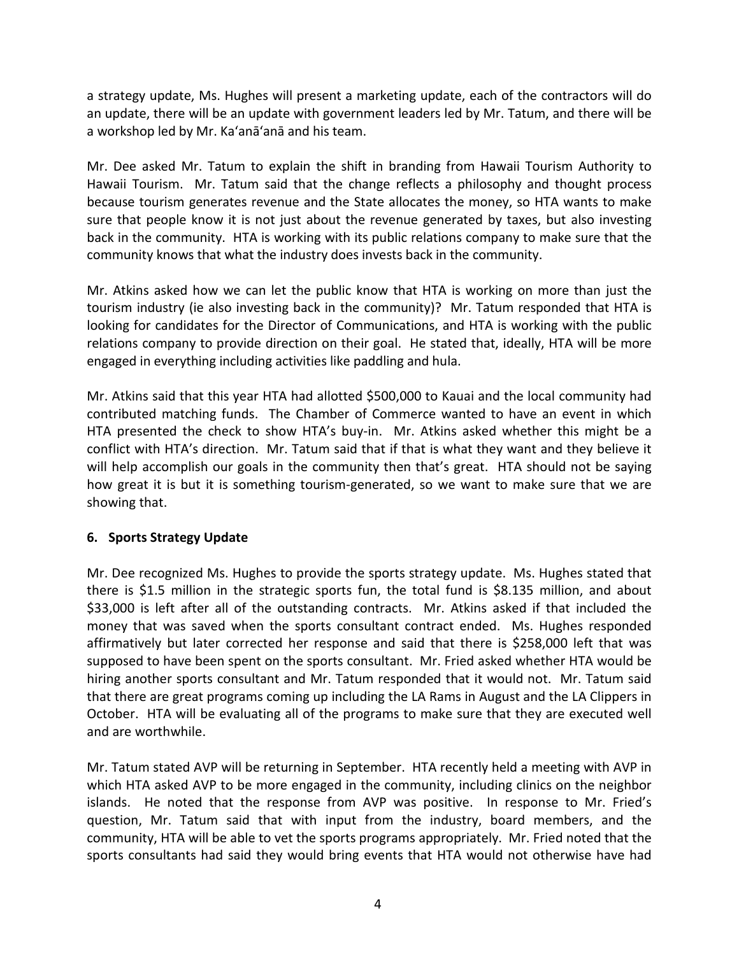a strategy update, Ms. Hughes will present a marketing update, each of the contractors will do an update, there will be an update with government leaders led by Mr. Tatum, and there will be a workshop led by Mr. Ka'anā'anā and his team.

Mr. Dee asked Mr. Tatum to explain the shift in branding from Hawaii Tourism Authority to Hawaii Tourism. Mr. Tatum said that the change reflects a philosophy and thought process because tourism generates revenue and the State allocates the money, so HTA wants to make sure that people know it is not just about the revenue generated by taxes, but also investing back in the community. HTA is working with its public relations company to make sure that the community knows that what the industry does invests back in the community.

Mr. Atkins asked how we can let the public know that HTA is working on more than just the tourism industry (ie also investing back in the community)? Mr. Tatum responded that HTA is looking for candidates for the Director of Communications, and HTA is working with the public relations company to provide direction on their goal. He stated that, ideally, HTA will be more engaged in everything including activities like paddling and hula.

Mr. Atkins said that this year HTA had allotted \$500,000 to Kauai and the local community had contributed matching funds. The Chamber of Commerce wanted to have an event in which HTA presented the check to show HTA's buy-in. Mr. Atkins asked whether this might be a conflict with HTA's direction. Mr. Tatum said that if that is what they want and they believe it will help accomplish our goals in the community then that's great. HTA should not be saying how great it is but it is something tourism-generated, so we want to make sure that we are showing that.

### **6. Sports Strategy Update**

Mr. Dee recognized Ms. Hughes to provide the sports strategy update. Ms. Hughes stated that there is \$1.5 million in the strategic sports fun, the total fund is \$8.135 million, and about \$33,000 is left after all of the outstanding contracts. Mr. Atkins asked if that included the money that was saved when the sports consultant contract ended. Ms. Hughes responded affirmatively but later corrected her response and said that there is \$258,000 left that was supposed to have been spent on the sports consultant. Mr. Fried asked whether HTA would be hiring another sports consultant and Mr. Tatum responded that it would not. Mr. Tatum said that there are great programs coming up including the LA Rams in August and the LA Clippers in October. HTA will be evaluating all of the programs to make sure that they are executed well and are worthwhile.

Mr. Tatum stated AVP will be returning in September. HTA recently held a meeting with AVP in which HTA asked AVP to be more engaged in the community, including clinics on the neighbor islands. He noted that the response from AVP was positive. In response to Mr. Fried's question, Mr. Tatum said that with input from the industry, board members, and the community, HTA will be able to vet the sports programs appropriately. Mr. Fried noted that the sports consultants had said they would bring events that HTA would not otherwise have had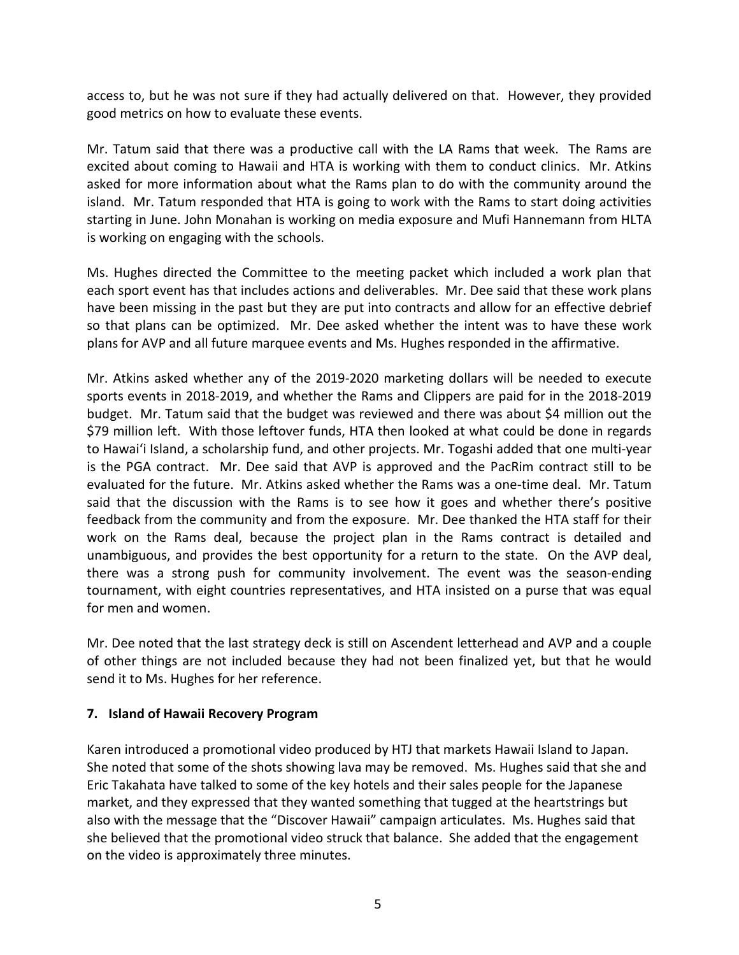access to, but he was not sure if they had actually delivered on that. However, they provided good metrics on how to evaluate these events.

Mr. Tatum said that there was a productive call with the LA Rams that week. The Rams are excited about coming to Hawaii and HTA is working with them to conduct clinics. Mr. Atkins asked for more information about what the Rams plan to do with the community around the island. Mr. Tatum responded that HTA is going to work with the Rams to start doing activities starting in June. John Monahan is working on media exposure and Mufi Hannemann from HLTA is working on engaging with the schools.

Ms. Hughes directed the Committee to the meeting packet which included a work plan that each sport event has that includes actions and deliverables. Mr. Dee said that these work plans have been missing in the past but they are put into contracts and allow for an effective debrief so that plans can be optimized. Mr. Dee asked whether the intent was to have these work plans for AVP and all future marquee events and Ms. Hughes responded in the affirmative.

Mr. Atkins asked whether any of the 2019-2020 marketing dollars will be needed to execute sports events in 2018-2019, and whether the Rams and Clippers are paid for in the 2018-2019 budget. Mr. Tatum said that the budget was reviewed and there was about \$4 million out the \$79 million left. With those leftover funds, HTA then looked at what could be done in regards to Hawai'i Island, a scholarship fund, and other projects. Mr. Togashi added that one multi-year is the PGA contract. Mr. Dee said that AVP is approved and the PacRim contract still to be evaluated for the future. Mr. Atkins asked whether the Rams was a one-time deal. Mr. Tatum said that the discussion with the Rams is to see how it goes and whether there's positive feedback from the community and from the exposure. Mr. Dee thanked the HTA staff for their work on the Rams deal, because the project plan in the Rams contract is detailed and unambiguous, and provides the best opportunity for a return to the state. On the AVP deal, there was a strong push for community involvement. The event was the season-ending tournament, with eight countries representatives, and HTA insisted on a purse that was equal for men and women.

Mr. Dee noted that the last strategy deck is still on Ascendent letterhead and AVP and a couple of other things are not included because they had not been finalized yet, but that he would send it to Ms. Hughes for her reference.

### **7. Island of Hawaii Recovery Program**

Karen introduced a promotional video produced by HTJ that markets Hawaii Island to Japan. She noted that some of the shots showing lava may be removed. Ms. Hughes said that she and Eric Takahata have talked to some of the key hotels and their sales people for the Japanese market, and they expressed that they wanted something that tugged at the heartstrings but also with the message that the "Discover Hawaii" campaign articulates. Ms. Hughes said that she believed that the promotional video struck that balance. She added that the engagement on the video is approximately three minutes.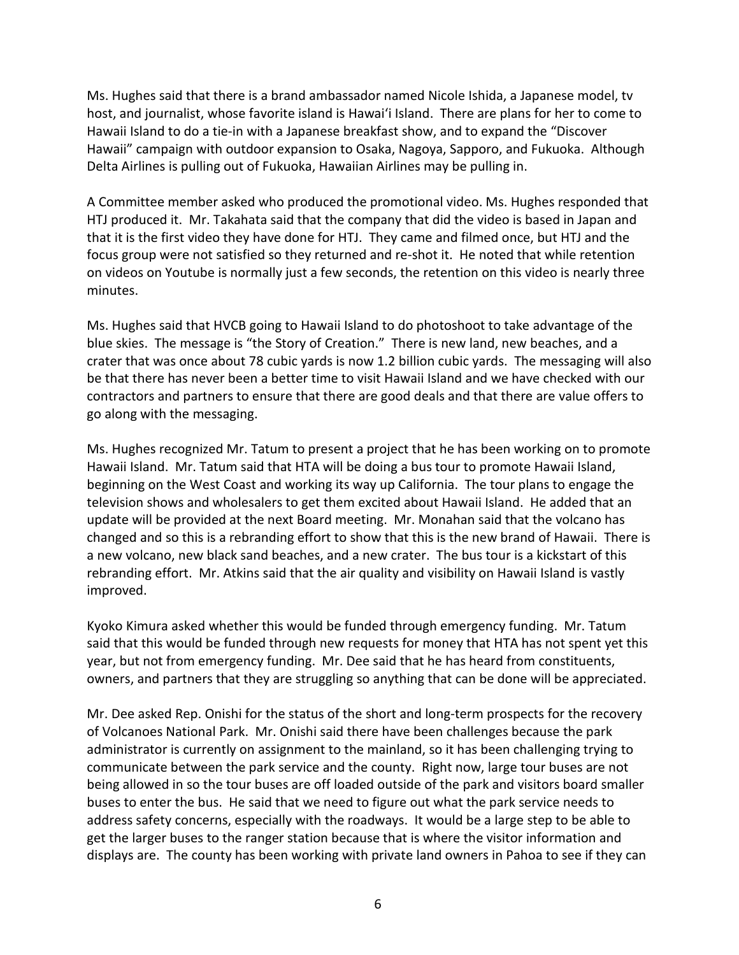Ms. Hughes said that there is a brand ambassador named Nicole Ishida, a Japanese model, tv host, and journalist, whose favorite island is Hawai'i Island. There are plans for her to come to Hawaii Island to do a tie-in with a Japanese breakfast show, and to expand the "Discover Hawaii" campaign with outdoor expansion to Osaka, Nagoya, Sapporo, and Fukuoka. Although Delta Airlines is pulling out of Fukuoka, Hawaiian Airlines may be pulling in.

A Committee member asked who produced the promotional video. Ms. Hughes responded that HTJ produced it. Mr. Takahata said that the company that did the video is based in Japan and that it is the first video they have done for HTJ. They came and filmed once, but HTJ and the focus group were not satisfied so they returned and re-shot it. He noted that while retention on videos on Youtube is normally just a few seconds, the retention on this video is nearly three minutes.

Ms. Hughes said that HVCB going to Hawaii Island to do photoshoot to take advantage of the blue skies. The message is "the Story of Creation." There is new land, new beaches, and a crater that was once about 78 cubic yards is now 1.2 billion cubic yards. The messaging will also be that there has never been a better time to visit Hawaii Island and we have checked with our contractors and partners to ensure that there are good deals and that there are value offers to go along with the messaging.

Ms. Hughes recognized Mr. Tatum to present a project that he has been working on to promote Hawaii Island. Mr. Tatum said that HTA will be doing a bus tour to promote Hawaii Island, beginning on the West Coast and working its way up California. The tour plans to engage the television shows and wholesalers to get them excited about Hawaii Island. He added that an update will be provided at the next Board meeting. Mr. Monahan said that the volcano has changed and so this is a rebranding effort to show that this is the new brand of Hawaii. There is a new volcano, new black sand beaches, and a new crater. The bus tour is a kickstart of this rebranding effort. Mr. Atkins said that the air quality and visibility on Hawaii Island is vastly improved.

Kyoko Kimura asked whether this would be funded through emergency funding. Mr. Tatum said that this would be funded through new requests for money that HTA has not spent yet this year, but not from emergency funding. Mr. Dee said that he has heard from constituents, owners, and partners that they are struggling so anything that can be done will be appreciated.

Mr. Dee asked Rep. Onishi for the status of the short and long-term prospects for the recovery of Volcanoes National Park. Mr. Onishi said there have been challenges because the park administrator is currently on assignment to the mainland, so it has been challenging trying to communicate between the park service and the county. Right now, large tour buses are not being allowed in so the tour buses are off loaded outside of the park and visitors board smaller buses to enter the bus. He said that we need to figure out what the park service needs to address safety concerns, especially with the roadways. It would be a large step to be able to get the larger buses to the ranger station because that is where the visitor information and displays are. The county has been working with private land owners in Pahoa to see if they can